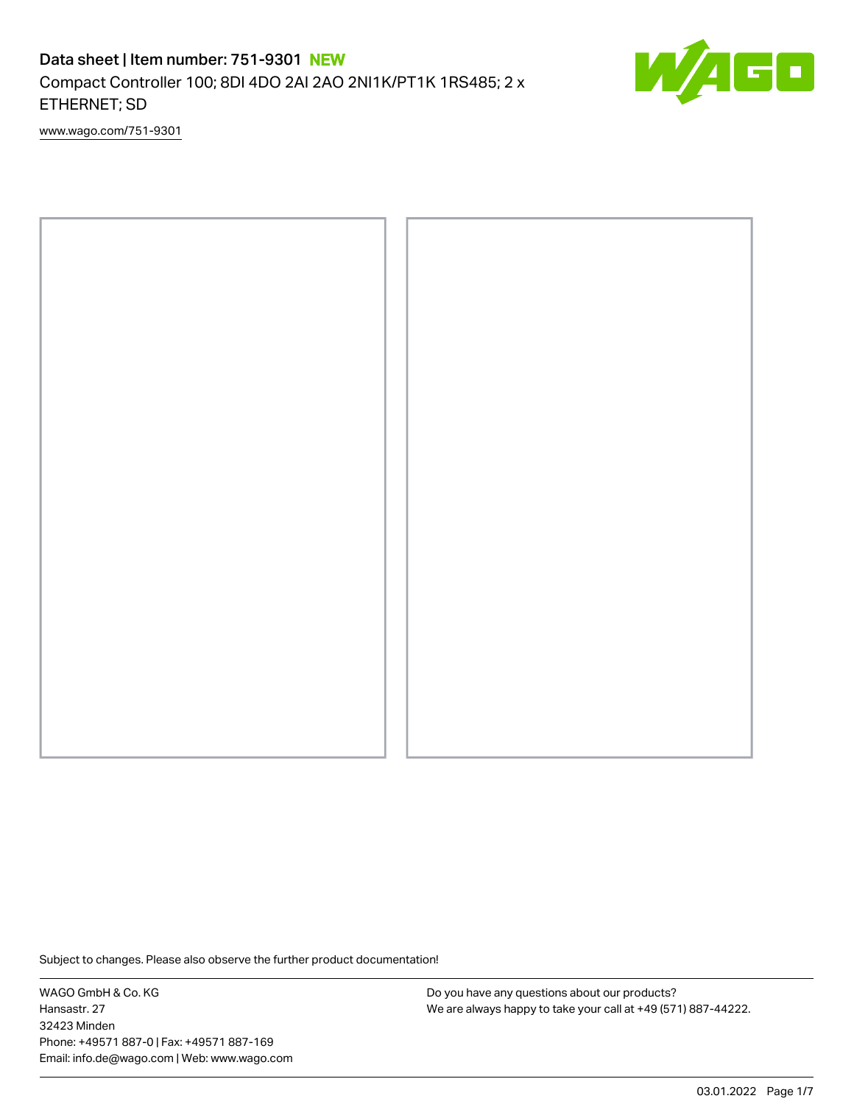# Data sheet | Item number: 751-9301 NEW Compact Controller 100; 8DI 4DO 2AI 2AO 2NI1K/PT1K 1RS485; 2 x ETHERNET; SD



[www.wago.com/751-9301](http://www.wago.com/751-9301)



Subject to changes. Please also observe the further product documentation!

WAGO GmbH & Co. KG Hansastr. 27 32423 Minden Phone: +49571 887-0 | Fax: +49571 887-169 Email: info.de@wago.com | Web: www.wago.com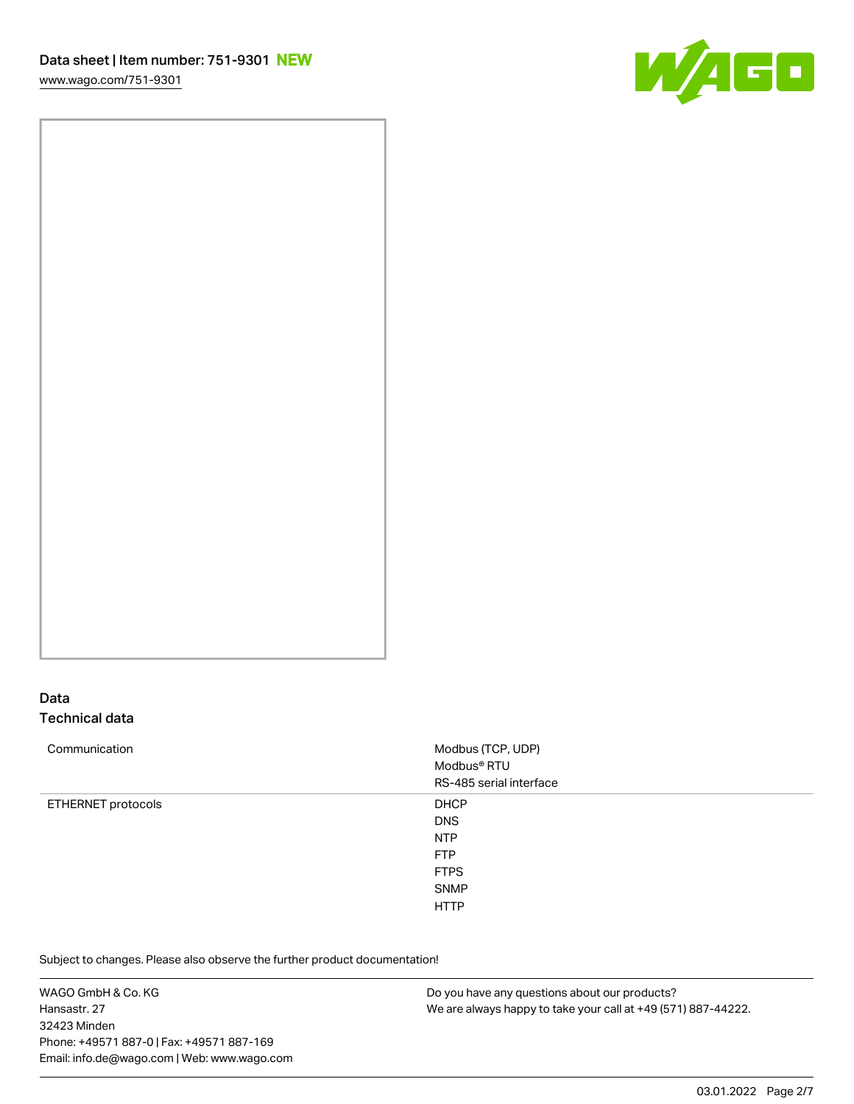[www.wago.com/751-9301](http://www.wago.com/751-9301)



## Data Technical data

| Communication      | Modbus (TCP, UDP)<br>Modbus® RTU<br>RS-485 serial interface                                        |
|--------------------|----------------------------------------------------------------------------------------------------|
| ETHERNET protocols | <b>DHCP</b><br><b>DNS</b><br><b>NTP</b><br><b>FTP</b><br><b>FTPS</b><br><b>SNMP</b><br><b>HTTP</b> |

Subject to changes. Please also observe the further product documentation! HTTPS

WAGO GmbH & Co. KG Hansastr. 27 32423 Minden Phone: +49571 887-0 | Fax: +49571 887-169 Email: info.de@wago.com | Web: www.wago.com Do you have any questions about our products? We are always happy to take your call at +49 (571) 887-44222.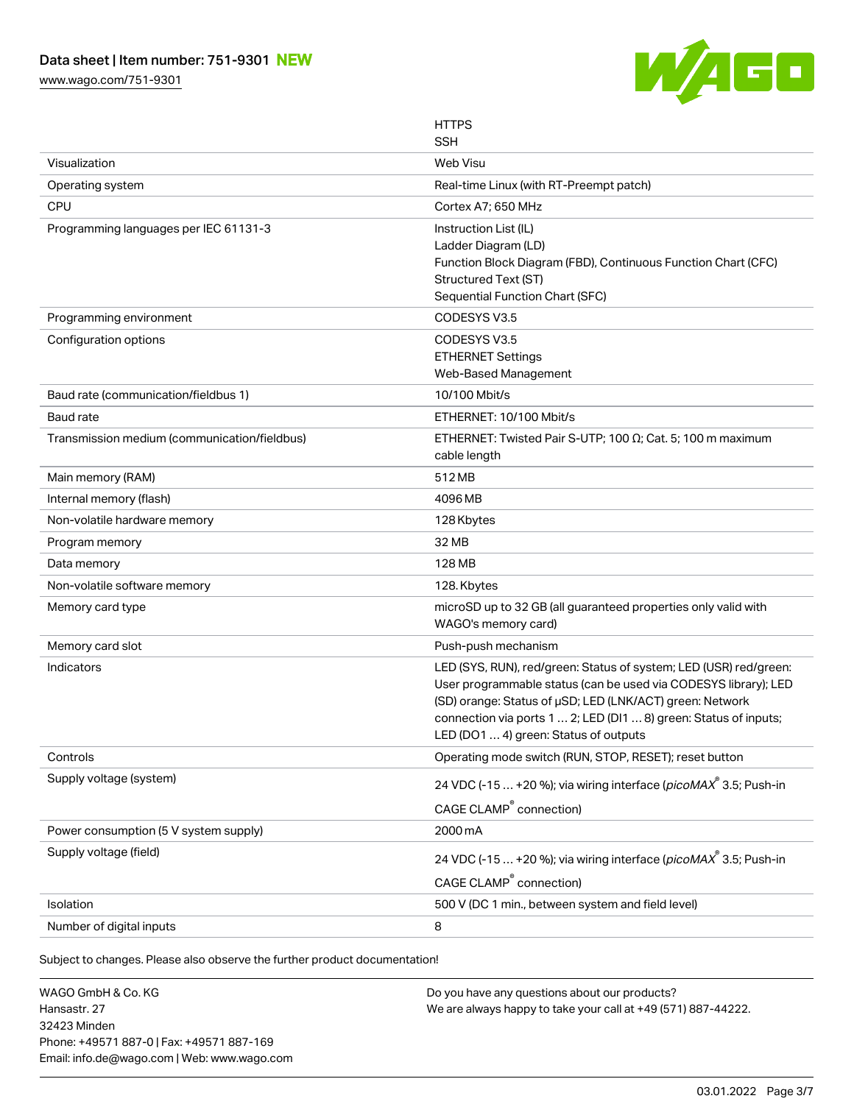[www.wago.com/751-9301](http://www.wago.com/751-9301)



|                                              | <b>HTTPS</b><br><b>SSH</b>                                                                                                                                                                                                                                                                                    |
|----------------------------------------------|---------------------------------------------------------------------------------------------------------------------------------------------------------------------------------------------------------------------------------------------------------------------------------------------------------------|
| Visualization                                | Web Visu                                                                                                                                                                                                                                                                                                      |
| Operating system                             | Real-time Linux (with RT-Preempt patch)                                                                                                                                                                                                                                                                       |
| CPU                                          | Cortex A7; 650 MHz                                                                                                                                                                                                                                                                                            |
| Programming languages per IEC 61131-3        | Instruction List (IL)<br>Ladder Diagram (LD)<br>Function Block Diagram (FBD), Continuous Function Chart (CFC)                                                                                                                                                                                                 |
|                                              | Structured Text (ST)<br>Sequential Function Chart (SFC)                                                                                                                                                                                                                                                       |
| Programming environment                      | CODESYS V3.5                                                                                                                                                                                                                                                                                                  |
| Configuration options                        | CODESYS V3.5<br><b>ETHERNET Settings</b><br>Web-Based Management                                                                                                                                                                                                                                              |
| Baud rate (communication/fieldbus 1)         | 10/100 Mbit/s                                                                                                                                                                                                                                                                                                 |
| Baud rate                                    | ETHERNET: 10/100 Mbit/s                                                                                                                                                                                                                                                                                       |
| Transmission medium (communication/fieldbus) | ETHERNET: Twisted Pair S-UTP; 100 $\Omega$ ; Cat. 5; 100 m maximum<br>cable length                                                                                                                                                                                                                            |
| Main memory (RAM)                            | 512 MB                                                                                                                                                                                                                                                                                                        |
| Internal memory (flash)                      | 4096 MB                                                                                                                                                                                                                                                                                                       |
| Non-volatile hardware memory                 | 128 Kbytes                                                                                                                                                                                                                                                                                                    |
| Program memory                               | 32 MB                                                                                                                                                                                                                                                                                                         |
| Data memory                                  | 128 MB                                                                                                                                                                                                                                                                                                        |
| Non-volatile software memory                 | 128. Kbytes                                                                                                                                                                                                                                                                                                   |
| Memory card type                             | microSD up to 32 GB (all guaranteed properties only valid with<br>WAGO's memory card)                                                                                                                                                                                                                         |
| Memory card slot                             | Push-push mechanism                                                                                                                                                                                                                                                                                           |
| Indicators                                   | LED (SYS, RUN), red/green: Status of system; LED (USR) red/green:<br>User programmable status (can be used via CODESYS library); LED<br>(SD) orange: Status of µSD; LED (LNK/ACT) green: Network<br>connection via ports 1  2; LED (DI1  8) green: Status of inputs;<br>LED (DO1  4) green: Status of outputs |
| Controls                                     | Operating mode switch (RUN, STOP, RESET); reset button                                                                                                                                                                                                                                                        |
| Supply voltage (system)                      | 24 VDC (-15  +20 %); via wiring interface (picoMAX <sup>®</sup> 3.5; Push-in<br>CAGE CLAMP <sup>®</sup> connection)                                                                                                                                                                                           |
| Power consumption (5 V system supply)        | 2000 mA                                                                                                                                                                                                                                                                                                       |
| Supply voltage (field)                       | 24 VDC (-15  +20 %); via wiring interface (picoMAX 3.5; Push-in<br>CAGE CLAMP <sup>®</sup> connection)                                                                                                                                                                                                        |
| Isolation                                    | 500 V (DC 1 min., between system and field level)                                                                                                                                                                                                                                                             |
| Number of digital inputs                     | 8                                                                                                                                                                                                                                                                                                             |

Subject to changes. Please also observe the further product documentation!

WAGO GmbH & Co. KG Hansastr. 27 32423 Minden Phone: +49571 887-0 | Fax: +49571 887-169 Email: info.de@wago.com | Web: www.wago.com Do you have any questions about our products? We are always happy to take your call at +49 (571) 887-44222.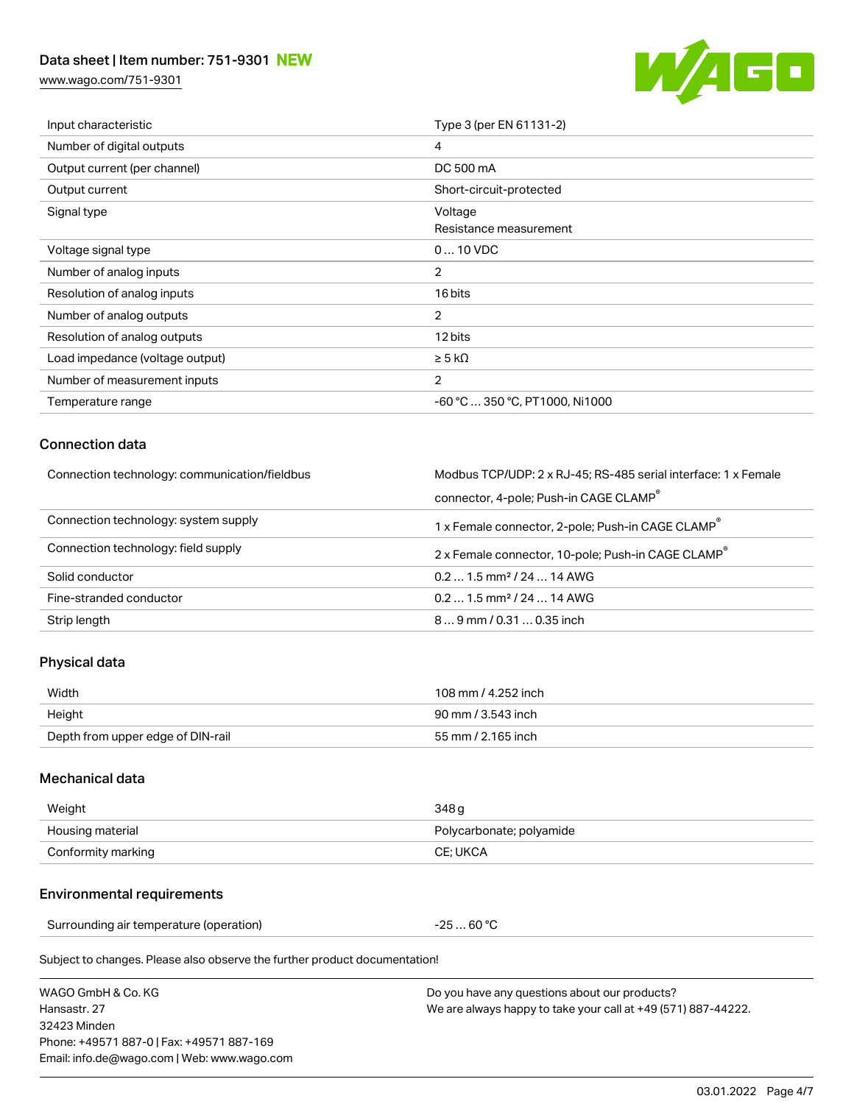## Data sheet | Item number: 751-9301 NEW

[www.wago.com/751-9301](http://www.wago.com/751-9301)



| Input characteristic            | Type 3 (per EN 61131-2)           |
|---------------------------------|-----------------------------------|
| Number of digital outputs       | 4                                 |
| Output current (per channel)    | DC 500 mA                         |
| Output current                  | Short-circuit-protected           |
| Signal type                     | Voltage<br>Resistance measurement |
| Voltage signal type             | $010$ VDC                         |
| Number of analog inputs         | $\overline{2}$                    |
| Resolution of analog inputs     | 16 bits                           |
| Number of analog outputs        | 2                                 |
| Resolution of analog outputs    | 12 bits                           |
| Load impedance (voltage output) | $\geq$ 5 k $\Omega$               |
| Number of measurement inputs    | $\overline{2}$                    |
| Temperature range               | -60 °C  350 °C, PT1000, Ni1000    |

### Connection data

| Connection technology: communication/fieldbus | Modbus TCP/UDP: 2 x RJ-45; RS-485 serial interface: 1 x Female |  |
|-----------------------------------------------|----------------------------------------------------------------|--|
|                                               | connector, 4-pole; Push-in CAGE CLAMP®                         |  |
| Connection technology: system supply          | 1 x Female connector, 2-pole; Push-in CAGE CLAMP $^\circ$      |  |
| Connection technology: field supply           | 2 x Female connector, 10-pole; Push-in CAGE CLAMP              |  |
| Solid conductor                               | $0.21.5$ mm <sup>2</sup> / 24  14 AWG                          |  |
| Fine-stranded conductor                       | $0.21.5$ mm <sup>2</sup> / 24  14 AWG                          |  |
| Strip length                                  | $89$ mm $/ 0.310.35$ inch                                      |  |

## Physical data

| Width                             | 108 mm / 4.252 inch |
|-----------------------------------|---------------------|
| Height                            | 90 mm / 3.543 inch  |
| Depth from upper edge of DIN-rail | 55 mm / 2.165 inch  |

### Mechanical data

| Weight             | 348 g                    |
|--------------------|--------------------------|
| Housing material   | Polycarbonate; polyamide |
| Conformity marking | CE: UKCA                 |

#### Environmental requirements

Surrounding air temperature (operation)  $-25...60°C$ 

Subject to changes. Please also observe the further product documentation!

| WAGO GmbH & Co. KG                          | Do you have any questions about our products?                 |
|---------------------------------------------|---------------------------------------------------------------|
| Hansastr, 27                                | We are always happy to take your call at +49 (571) 887-44222. |
| 32423 Minden                                |                                                               |
| Phone: +49571 887-0   Fax: +49571 887-169   |                                                               |
| Email: info.de@wago.com   Web: www.wago.com |                                                               |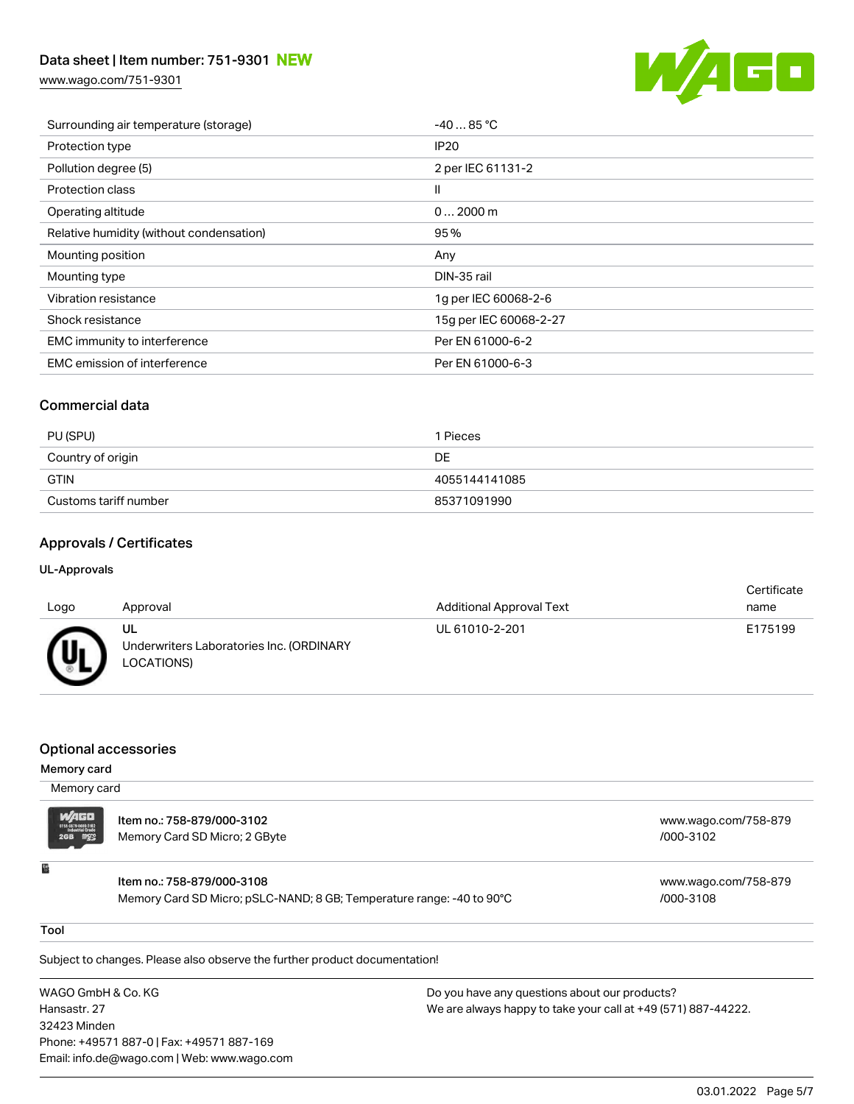## Data sheet | Item number: 751-9301 NEW

[www.wago.com/751-9301](http://www.wago.com/751-9301)



| Surrounding air temperature (storage)    | $-4085 °C$             |
|------------------------------------------|------------------------|
| Protection type                          | IP <sub>20</sub>       |
| Pollution degree (5)                     | 2 per IEC 61131-2      |
| <b>Protection class</b>                  | Ш                      |
| Operating altitude                       | $02000$ m              |
| Relative humidity (without condensation) | 95%                    |
|                                          |                        |
| Mounting position                        | Any                    |
| Mounting type                            | DIN-35 rail            |
| Vibration resistance                     | 1q per IEC 60068-2-6   |
| Shock resistance                         | 15g per IEC 60068-2-27 |
| EMC immunity to interference             | Per EN 61000-6-2       |
| <b>EMC</b> emission of interference      | Per EN 61000-6-3       |

## Commercial data

| PU (SPU)              | 1 Pieces      |
|-----------------------|---------------|
| Country of origin     | DE            |
| GTIN                  | 4055144141085 |
| Customs tariff number | 85371091990   |

## Approvals / Certificates

#### UL-Approvals

| Logo        | Approval                                                     | <b>Additional Approval Text</b> | Certificate<br>name |
|-------------|--------------------------------------------------------------|---------------------------------|---------------------|
|             |                                                              |                                 |                     |
| <i>(</i> Uı | UL<br>Underwriters Laboratories Inc. (ORDINARY<br>LOCATIONS) | UL 61010-2-201                  | E175199             |

### Optional accessories

#### Memory card

| Memory card             |                                                                                                     |                                   |
|-------------------------|-----------------------------------------------------------------------------------------------------|-----------------------------------|
| $M/AGD$<br>$2GB$ $M/2S$ | Item no.: 758-879/000-3102<br>Memory Card SD Micro; 2 GByte                                         | www.wago.com/758-879<br>/000-3102 |
| 쀂                       | Item no.: 758-879/000-3108<br>Memory Card SD Micro; pSLC-NAND; 8 GB; Temperature range: -40 to 90°C | www.wago.com/758-879<br>/000-3108 |

#### Tool

Subject to changes. Please also observe the further product documentation!

WAGO GmbH & Co. KG Hansastr. 27 32423 Minden Phone: +49571 887-0 | Fax: +49571 887-169 Email: info.de@wago.com | Web: www.wago.com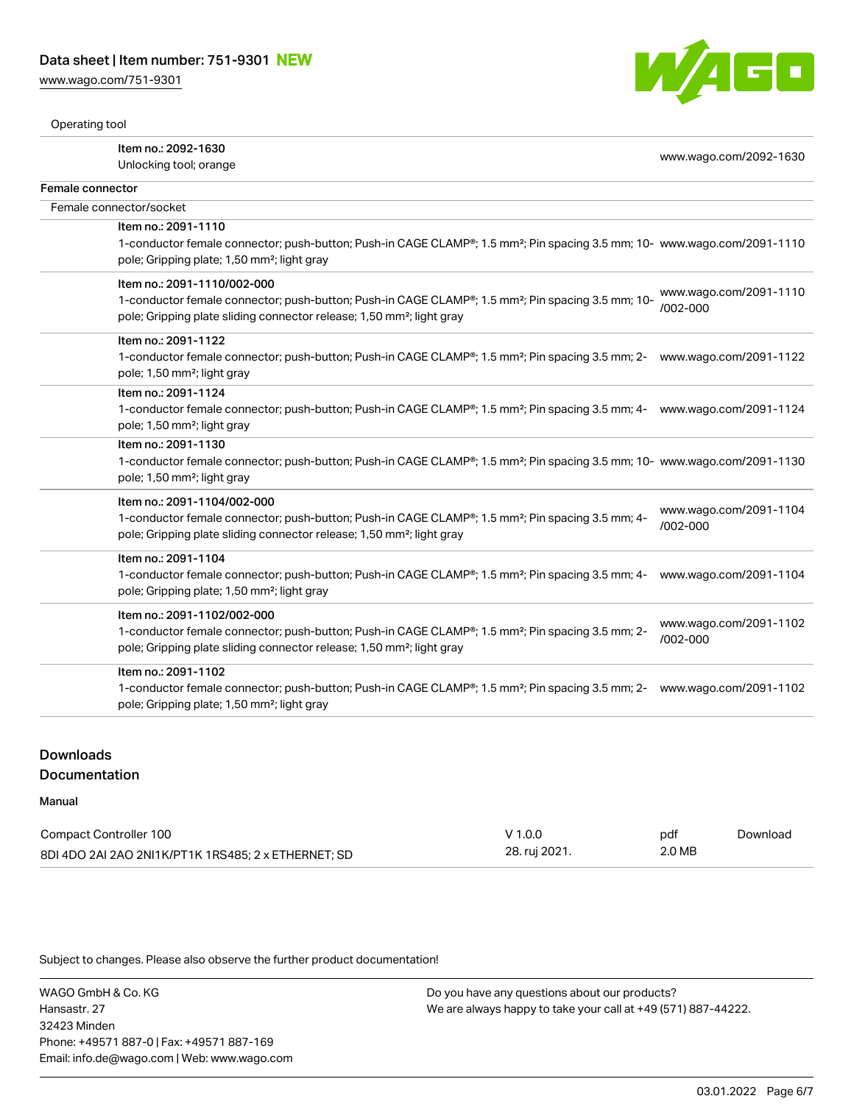[www.wago.com/751-9301](http://www.wago.com/751-9301)



Operating tool

|                  | Item no.: 2092-1630<br>Unlocking tool; orange                                                                                                                                                                                                 | www.wago.com/2092-1630                 |
|------------------|-----------------------------------------------------------------------------------------------------------------------------------------------------------------------------------------------------------------------------------------------|----------------------------------------|
| Female connector |                                                                                                                                                                                                                                               |                                        |
|                  | Female connector/socket                                                                                                                                                                                                                       |                                        |
|                  | Item no.: 2091-1110<br>1-conductor female connector; push-button; Push-in CAGE CLAMP®; 1.5 mm <sup>2</sup> ; Pin spacing 3.5 mm; 10- www.wago.com/2091-1110<br>pole; Gripping plate; 1,50 mm <sup>2</sup> ; light gray                        |                                        |
|                  | Item no.: 2091-1110/002-000<br>1-conductor female connector; push-button; Push-in CAGE CLAMP®; 1.5 mm <sup>2</sup> ; Pin spacing 3.5 mm; 10-<br>pole; Gripping plate sliding connector release; 1,50 mm <sup>2</sup> ; light gray             | www.wago.com/2091-1110<br>/002-000     |
|                  | Item no.: 2091-1122<br>1-conductor female connector; push-button; Push-in CAGE CLAMP®; 1.5 mm <sup>2</sup> ; Pin spacing 3.5 mm; 2- www.wago.com/2091-1122<br>pole; 1,50 mm <sup>2</sup> ; light gray                                         |                                        |
|                  | Item no.: 2091-1124<br>1-conductor female connector; push-button; Push-in CAGE CLAMP®; 1.5 mm <sup>2</sup> ; Pin spacing 3.5 mm; 4- www.wago.com/2091-1124<br>pole; 1,50 mm <sup>2</sup> ; light gray                                         |                                        |
|                  | Item no.: 2091-1130<br>1-conductor female connector; push-button; Push-in CAGE CLAMP®; 1.5 mm <sup>2</sup> ; Pin spacing 3.5 mm; 10- www.wago.com/2091-1130<br>pole; 1,50 mm <sup>2</sup> ; light gray                                        |                                        |
|                  | Item no.: 2091-1104/002-000<br>1-conductor female connector; push-button; Push-in CAGE CLAMP®; 1.5 mm <sup>2</sup> ; Pin spacing 3.5 mm; 4-<br>pole; Gripping plate sliding connector release; 1,50 mm <sup>2</sup> ; light gray              | www.wago.com/2091-1104<br>$/002 - 000$ |
|                  | Item no.: 2091-1104<br>1-conductor female connector; push-button; Push-in CAGE CLAMP®; 1.5 mm <sup>2</sup> ; Pin spacing 3.5 mm; 4-<br>pole; Gripping plate; 1,50 mm <sup>2</sup> ; light gray                                                | www.wago.com/2091-1104                 |
|                  | Item no.: 2091-1102/002-000<br>1-conductor female connector; push-button; Push-in CAGE CLAMP <sup>®</sup> ; 1.5 mm <sup>2</sup> ; Pin spacing 3.5 mm; 2-<br>pole; Gripping plate sliding connector release; 1,50 mm <sup>2</sup> ; light gray | www.wago.com/2091-1102<br>/002-000     |
|                  | Item no.: 2091-1102<br>1-conductor female connector; push-button; Push-in CAGE CLAMP <sup>®</sup> ; 1.5 mm <sup>2</sup> ; Pin spacing 3.5 mm; 2- www.wago.com/2091-1102<br>pole; Gripping plate; 1,50 mm <sup>2</sup> ; light gray            |                                        |
|                  |                                                                                                                                                                                                                                               |                                        |

# Downloads

## Documentation

### Manual

| Compact Controller 100                              | $V$ 1.0.0     | pdf    | Download |
|-----------------------------------------------------|---------------|--------|----------|
| 8DI 4DO 2AI 2AO 2NI1K/PT1K 1RS485: 2 x ETHERNET: SD | 28. ruj 2021. | 2.0 MB |          |

Subject to changes. Please also observe the further product documentation!

WAGO GmbH & Co. KG Hansastr. 27 32423 Minden Phone: +49571 887-0 | Fax: +49571 887-169 Email: info.de@wago.com | Web: www.wago.com